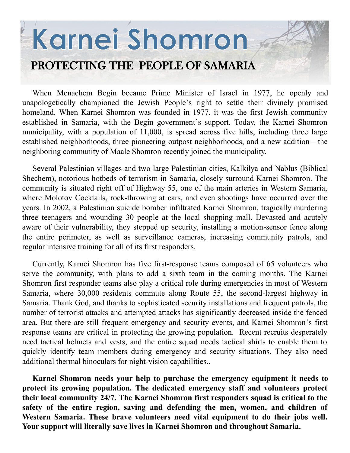# Karnei Shomron PROTECTING THE PEOPLE OF SAMARIA

When Menachem Begin became Prime Minister of Israel in 1977, he openly and unapologetically championed the Jewish People's right to settle their divinely promised homeland. When Karnei Shomron was founded in 1977, it was the first Jewish community established in Samaria, with the Begin government's support. Today, the Karnei Shomron municipality, with a population of 11,000, is spread across five hills, including three large established neighborhoods, three pioneering outpost neighborhoods, and a new addition—the neighboring community of Maale Shomron recently joined the municipality.

Several Palestinian villages and two large Palestinian cities, Kalkilya and Nablus (Biblical Shechem), notorious hotbeds of terrorism in Samaria, closely surround Karnei Shomron. The community is situated right off of Highway 55, one of the main arteries in Western Samaria, where Molotov Cocktails, rock-throwing at cars, and even shootings have occurred over the years. In 2002, a Palestinian suicide bomber infiltrated Karnei Shomron, tragically murdering three teenagers and wounding 30 people at the local shopping mall. Devasted and acutely aware of their vulnerability, they stepped up security, installing a motion-sensor fence along the entire perimeter, as well as surveillance cameras, increasing community patrols, and regular intensive training for all of its first responders.

Currently, Karnei Shomron has five first-response teams composed of 65 volunteers who serve the community, with plans to add a sixth team in the coming months. The Karnei Shomron first responder teams also play a critical role during emergencies in most of Western Samaria, where 30,000 residents commute along Route 55, the second-largest highway in Samaria. Thank God, and thanks to sophisticated security installations and frequent patrols, the number of terrorist attacks and attempted attacks has significantly decreased inside the fenced area. But there are still frequent emergency and security events, and Karnei Shomron's first response teams are critical in protecting the growing population. Recent recruits desperately need tactical helmets and vests, and the entire squad needs tactical shirts to enable them to quickly identify team members during emergency and security situations. They also need additional thermal binoculars for night-vision capabilities..

**Karnei Shomron needs your help to purchase the emergency equipment it needs to protect its growing population. The dedicated emergency staff and volunteers protect their local community 24/7. The Karnei Shomron first responders squad is critical to the safety of the entire region, saving and defending the men, women, and children of Western Samaria. These brave volunteers need vital equipment to do their jobs well. Your support will literally save lives in Karnei Shomron and throughout Samaria.**